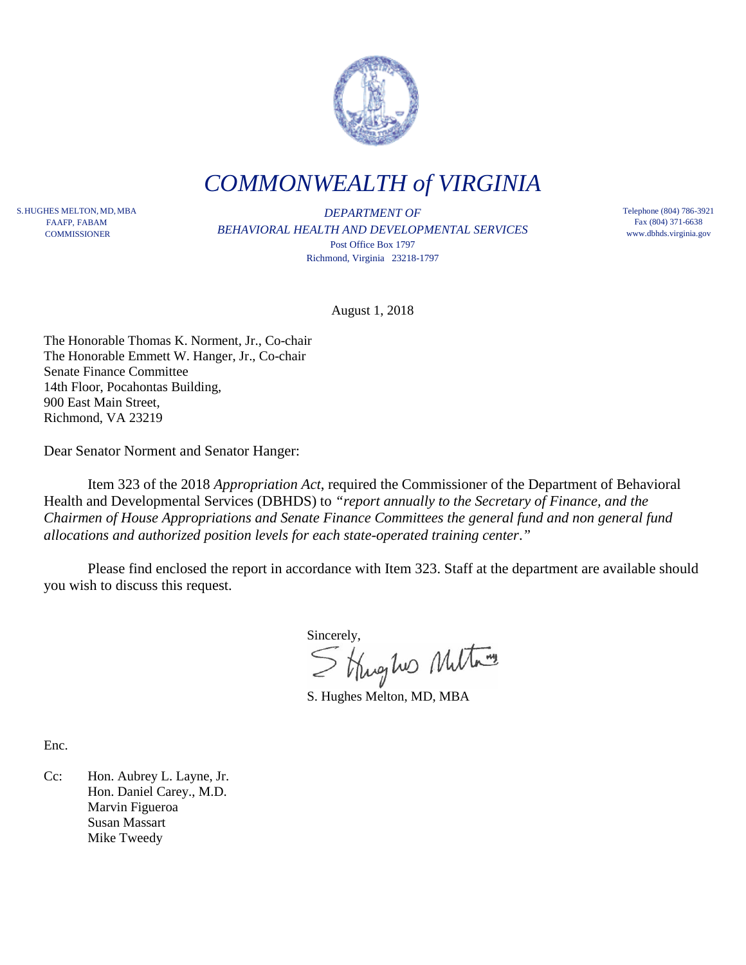

*COMMONWEALTH of VIRGINIA*

S. HUGHES MELTON, MD, MBA FAAFP, FABAM **COMMISSIONER** 

*DEPARTMENT OF BEHAVIORAL HEALTH AND DEVELOPMENTAL SERVICES* Post Office Box 1797 Richmond, Virginia 23218-1797

Telephone (804) 786-3921 Fax (804) 371-6638 www.dbhds.virginia.gov

August 1, 2018

The Honorable Thomas K. Norment, Jr., Co-chair The Honorable Emmett W. Hanger, Jr., Co-chair Senate Finance Committee 14th Floor, Pocahontas Building, 900 East Main Street, Richmond, VA 23219

Dear Senator Norment and Senator Hanger:

Item 323 of the 2018 *Appropriation Act*, required the Commissioner of the Department of Behavioral Health and Developmental Services (DBHDS) to *"report annually to the Secretary of Finance, and the Chairmen of House Appropriations and Senate Finance Committees the general fund and non general fund allocations and authorized position levels for each state-operated training center*.*"*

Please find enclosed the report in accordance with Item 323. Staff at the department are available should you wish to discuss this request.

Sincerely,<br>Strughes Multary

S. Hughes Melton, MD, MBA

Enc.

Cc: Hon. Aubrey L. Layne, Jr. Hon. Daniel Carey., M.D. Marvin Figueroa Susan Massart Mike Tweedy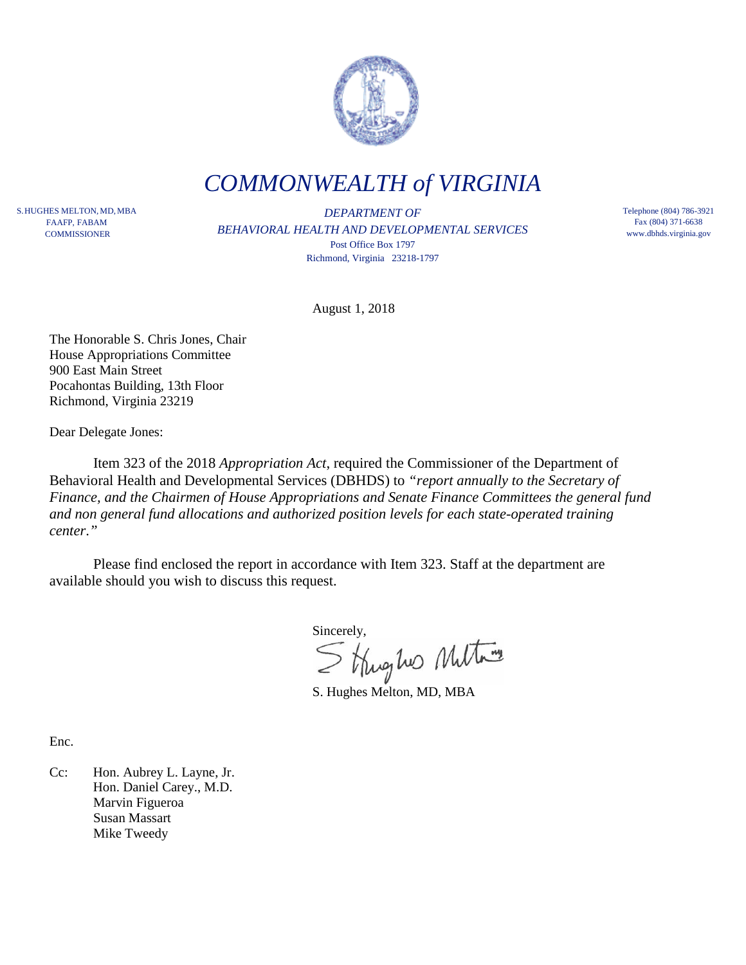

*COMMONWEALTH of VIRGINIA*

S. HUGHES MELTON, MD, MBA FAAFP, FABAM **COMMISSIONER** 

*DEPARTMENT OF BEHAVIORAL HEALTH AND DEVELOPMENTAL SERVICES* Post Office Box 1797 Richmond, Virginia 23218-1797

Telephone (804) 786-3921 Fax (804) 371-6638 www.dbhds.virginia.gov

August 1, 2018

The Honorable S. Chris Jones, Chair House Appropriations Committee 900 East Main Street Pocahontas Building, 13th Floor Richmond, Virginia 23219

Dear Delegate Jones:

Item 323 of the 2018 *Appropriation Act*, required the Commissioner of the Department of Behavioral Health and Developmental Services (DBHDS) to *"report annually to the Secretary of Finance, and the Chairmen of House Appropriations and Senate Finance Committees the general fund and non general fund allocations and authorized position levels for each state-operated training center*.*"*

Please find enclosed the report in accordance with Item 323. Staff at the department are available should you wish to discuss this request.

Sincerely,<br>Strughes Multary

S. Hughes Melton, MD, MBA

Enc.

Cc: Hon. Aubrey L. Layne, Jr. Hon. Daniel Carey., M.D. Marvin Figueroa Susan Massart Mike Tweedy